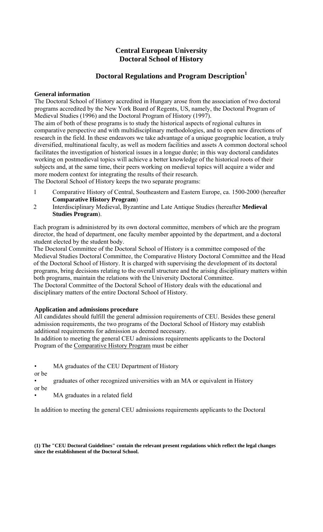# **Central European University Doctoral School of History**

# **Doctoral Regulations and Program Description<sup>1</sup>**

# **General information**

The Doctoral School of History accredited in Hungary arose from the association of two doctoral programs accredited by the New York Board of Regents, US, namely, the Doctoral Program of Medieval Studies (1996) and the Doctoral Program of History (1997).

The aim of both of these programs is to study the historical aspects of regional cultures in comparative perspective and with multidisciplinary methodologies, and to open new directions of research in the field. In these endeavors we take advantage of a unique geographic location, a truly diversified, multinational faculty, as well as modern facilities and assets A common doctoral school facilitates the investigation of historical issues in a longue durée; in this way doctoral candidates working on postmedieval topics will achieve a better knowledge of the historical roots of their subjects and, at the same time, their peers working on medieval topics will acquire a wider and more modern context for integrating the results of their research.

The Doctoral School of History keeps the two separate programs:

- 1 Comparative History of Central, Southeastern and Eastern Europe, ca. 1500-2000 (hereafter **Comparative History Program**)
- 2 Interdisciplinary Medieval, Byzantine and Late Antique Studies (hereafter **Medieval Studies Program**).

Each program is administered by its own doctoral committee, members of which are the program director, the head of department, one faculty member appointed by the department, and a doctoral student elected by the student body.

The Doctoral Committee of the Doctoral School of History is a committee composed of the Medieval Studies Doctoral Committee, the Comparative History Doctoral Committee and the Head of the Doctoral School of History. It is charged with supervising the development of its doctoral programs, bring decisions relating to the overall structure and the arising disciplinary matters within both programs, maintain the relations with the University Doctoral Committee.

The Doctoral Committee of the Doctoral School of History deals with the educational and disciplinary matters of the entire Doctoral School of History.

# **Application and admissions procedure**

All candidates should fulfill the general admission requirements of CEU. Besides these general admission requirements, the two programs of the Doctoral School of History may establish additional requirements for admission as deemed necessary.

In addition to meeting the general CEU admissions requirements applicants to the Doctoral Program of the Comparative History Program must be either

- MA graduates of the CEU Department of History
- or be

- graduates of other recognized universities with an MA or equivalent in History
- or be
- MA graduates in a related field

In addition to meeting the general CEU admissions requirements applicants to the Doctoral

**(1) The "CEU Doctoral Guidelines" contain the relevant present regulations which reflect the legal changes since the establishment of the Doctoral School.**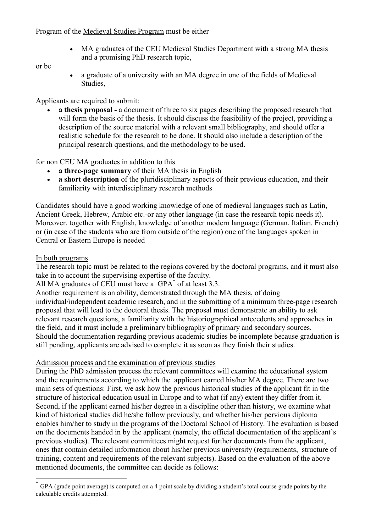Program of the Medieval Studies Program must be either

• MA graduates of the CEU Medieval Studies Department with a strong MA thesis and a promising PhD research topic,

# or be

• a graduate of a university with an MA degree in one of the fields of Medieval Studies,

Applicants are required to submit:

• a thesis proposal - a document of three to six pages describing the proposed research that will form the basis of the thesis. It should discuss the feasibility of the project, providing a description of the source material with a relevant small bibliography, and should offer a realistic schedule for the research to be done. It should also include a description of the principal research questions, and the methodology to be used.

for non CEU MA graduates in addition to this

- a three-page summary of their MA thesis in English
- a short description of the pluridisciplinary aspects of their previous education, and their familiarity with interdisciplinary research methods

Candidates should have a good working knowledge of one of medieval languages such as Latin, Ancient Greek, Hebrew, Arabic etc.-or any other language (in case the research topic needs it). Moreover, together with English, knowledge of another modern language (German, Italian. French) or (in case of the students who are from outside of the region) one of the languages spoken in Central or Eastern Europe is needed

# In both programs

 $\overline{a}$ 

The research topic must be related to the regions covered by the doctoral programs, and it must also take in to account the supervising expertise of the faculty.

All MA graduates of CEU must have a GPA\* of at least 3.3.

Another requirement is an ability, demonstrated through the MA thesis, of doing individual/independent academic research, and in the submitting of a minimum three-page research proposal that will lead to the doctoral thesis. The proposal must demonstrate an ability to ask relevant research questions, a familiarity with the historiographical antecedents and approaches in the field, and it must include a preliminary bibliography of primary and secondary sources. Should the documentation regarding previous academic studies be incomplete because graduation is still pending, applicants are advised to complete it as soon as they finish their studies.

# Admission process and the examination of previous studies

During the PhD admission process the relevant committees will examine the educational system and the requirements according to which the applicant earned his/her MA degree. There are two main sets of questions: First, we ask how the previous historical studies of the applicant fit in the structure of historical education usual in Europe and to what (if any) extent they differ from it. Second, if the applicant earned his/her degree in a discipline other than history, we examine what kind of historical studies did he/she follow previously, and whether his/her pervious diploma enables him/her to study in the programs of the Doctoral School of History. The evaluation is based on the documents handed in by the applicant (namely, the official documentation of the applicant's previous studies). The relevant committees might request further documents from the applicant, ones that contain detailed information about his/her previous university (requirements, structure of training, content and requirements of the relevant subjects). Based on the evaluation of the above mentioned documents, the committee can decide as follows:

<sup>\*</sup> GPA (grade point average) is computed on a 4 point scale by dividing a student's total course grade points by the calculable credits attempted.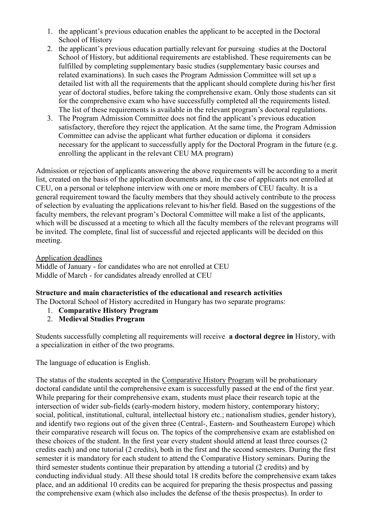- 1. the applicant's previous education enables the applicant to be accepted in the Doctoral School of History
- 2. the applicant's previous education partially relevant for pursuing studies at the Doctoral School of History, but additional requirements are established. These requirements can be fulfilled by completing supplementary basic studies (supplementary basic courses and related examinations). In such cases the Program Admission Committee will set up a detailed list with all the requirements that the applicant should complete during his/her first year of doctoral studies, before taking the comprehensive exam. Only those students can sit for the comprehensive exam who have successfully completed all the requirements listed. The list of these requirements is available in the relevant program's doctoral regulations.
- 3. The Program Admission Committee does not find the applicant's previous education satisfactory, therefore they reject the application. At the same time, the Program Admission Committee can advise the applicant what further education or diploma it considers necessary for the applicant to successfully apply for the Doctoral Program in the future (e.g. enrolling the applicant in the relevant CEU MA program)

Admission or rejection of applicants answering the above requirements will be according to a merit list, created on the basis of the application documents and, in the case of applicants not enrolled at CEU, on a personal or telephone interview with one or more members of CEU faculty. It is a general requirement toward the faculty members that they should actively contribute to the process of selection by evaluating the applications relevant to his/her field. Based on the suggestions of the faculty members, the relevant program's Doctoral Committee will make a list of the applicants, which will be discussed at a meeting to which all the faculty members of the relevant programs will be invited. The complete, final list of successful and rejected applicants will be decided on this meeting.

Application deadlines

Middle of January - for candidates who are not enrolled at CEU Middle of March - for candidates already enrolled at CEU

## Structure and main characteristics of the educational and research activities

The Doctoral School of History accredited in Hungary has two separate programs:

- 1. Comparative History Program
- 2. Medieval Studies Program

Students successfully completing all requirements will receive a doctoral degree in History, with a specialization in either of the two programs.

The language of education is English.

The status of the students accepted in the Comparative History Program will be probationary doctoral candidate until the comprehensive exam is successfully passed at the end of the first year. While preparing for their comprehensive exam, students must place their research topic at the intersection of wider sub-fields (early-modern history, modern history, contemporary history; social, political, institutional, cultural, intellectual history etc.; nationalism studies, gender history), and identify two regions out of the given three (Central-, Eastern- and Southeastern Europe) which their comparative research will focus on. The topics of the comprehensive exam are established on these choices of the student. In the first year every student should attend at least three courses (2 credits each) and one tutorial (2 credits), both in the first and the second semesters. During the first semester it is mandatory for each student to attend the Comparative History seminars. During the third semester students continue their preparation by attending a tutorial (2 credits) and by conducting individual study. All these should total 18 credits before the comprehensive exam takes place, and an additional 10 credits can be acquired for preparing the thesis prospectus and passing the comprehensive exam (which also includes the defense of the thesis prospectus). In order to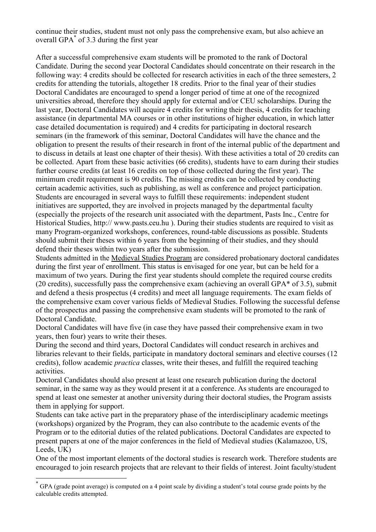continue their studies, student must not only pass the comprehensive exam, but also achieve an overall GPA\* of 3.3 during the first year

After a successful comprehensive exam students will be promoted to the rank of Doctoral Candidate. During the second year Doctoral Candidates should concentrate on their research in the following way: 4 credits should be collected for research activities in each of the three semesters, 2 credits for attending the tutorials, altogether 18 credits. Prior to the final year of their studies Doctoral Candidates are encouraged to spend a longer period of time at one of the recognized universities abroad, therefore they should apply for external and/or CEU scholarships. During the last year, Doctoral Candidates will acquire 4 credits for writing their thesis, 4 credits for teaching assistance (in departmental MA courses or in other institutions of higher education, in which latter case detailed documentation is required) and 4 credits for participating in doctoral research seminars (in the framework of this seminar, Doctoral Candidates will have the chance and the obligation to present the results of their research in front of the internal public of the department and to discuss in details at least one chapter of their thesis). With these activities a total of 20 credits can be collected. Apart from these basic activities (66 credits), students have to earn during their studies further course credits (at least 16 credits on top of those collected during the first year). The minimum credit requirement is 90 credits. The missing credits can be collected by conducting certain academic activities, such as publishing, as well as conference and project participation. Students are encouraged in several ways to fulfill these requirements: independent student initiatives are supported, they are involved in projects managed by the departmental faculty (especially the projects of the research unit associated with the department, Pasts Inc., Centre for Historical Studies, http:// www.pasts.ceu.hu ). During their studies students are required to visit as many Program-organized workshops, conferences, round-table discussions as possible. Students should submit their theses within 6 years from the beginning of their studies, and they should defend their theses within two years after the submission.

Students admitted in the Medieval Studies Program are considered probationary doctoral candidates during the first year of enrollment. This status is envisaged for one year, but can be held for a maximum of two years. During the first year students should complete the required course credits (20 credits), successfully pass the comprehensive exam (achieving an overall GPA\* of 3.5), submit and defend a thesis prospectus (4 credits) and meet all language requirements. The exam fields of the comprehensive exam cover various fields of Medieval Studies. Following the successful defense of the prospectus and passing the comprehensive exam students will be promoted to the rank of Doctoral Candidate.

Doctoral Candidates will have five (in case they have passed their comprehensive exam in two years, then four) years to write their theses.

During the second and third years, Doctoral Candidates will conduct research in archives and libraries relevant to their fields, participate in mandatory doctoral seminars and elective courses (12 credits), follow academic practica classes, write their theses, and fulfill the required teaching activities.

Doctoral Candidates should also present at least one research publication during the doctoral seminar, in the same way as they would present it at a conference. As students are encouraged to spend at least one semester at another university during their doctoral studies, the Program assists them in applying for support.

Students can take active part in the preparatory phase of the interdisciplinary academic meetings (workshops) organized by the Program, they can also contribute to the academic events of the Program or to the editorial duties of the related publications. Doctoral Candidates are expected to present papers at one of the major conferences in the field of Medieval studies (Kalamazoo, US, Leeds, UK)

One of the most important elements of the doctoral studies is research work. Therefore students are encouraged to join research projects that are relevant to their fields of interest. Joint faculty/student

 $\overline{a}$ 

<sup>\*</sup> GPA (grade point average) is computed on a 4 point scale by dividing a student's total course grade points by the calculable credits attempted.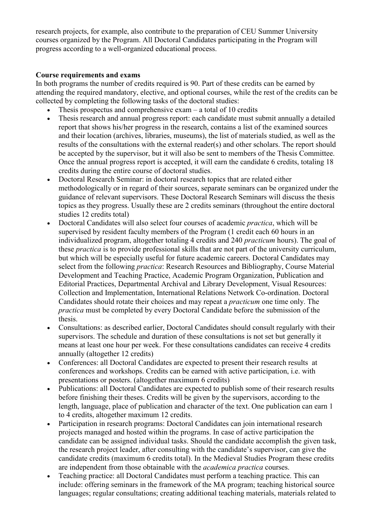research projects, for example, also contribute to the preparation of CEU Summer University courses organized by the Program. All Doctoral Candidates participating in the Program will progress according to a well-organized educational process.

# Course requirements and exams

In both programs the number of credits required is 90. Part of these credits can be earned by attending the required mandatory, elective, and optional courses, while the rest of the credits can be collected by completing the following tasks of the doctoral studies:

- Thesis prospectus and comprehensive exam  $-$  a total of 10 credits
- Thesis research and annual progress report: each candidate must submit annually a detailed report that shows his/her progress in the research, contains a list of the examined sources and their location (archives, libraries, museums), the list of materials studied, as well as the results of the consultations with the external reader(s) and other scholars. The report should be accepted by the supervisor, but it will also be sent to members of the Thesis Committee. Once the annual progress report is accepted, it will earn the candidate 6 credits, totaling 18 credits during the entire course of doctoral studies.
- Doctoral Research Seminar: in doctoral research topics that are related either methodologically or in regard of their sources, separate seminars can be organized under the guidance of relevant supervisors. These Doctoral Research Seminars will discuss the thesis topics as they progress. Usually these are 2 credits seminars (throughout the entire doctoral studies 12 credits total)
- Doctoral Candidates will also select four courses of academic *practica*, which will be supervised by resident faculty members of the Program (1 credit each 60 hours in an individualized program, altogether totaling 4 credits and 240 practicum hours). The goal of these practica is to provide professional skills that are not part of the university curriculum, but which will be especially useful for future academic careers. Doctoral Candidates may select from the following *practica*: Research Resources and Bibliography, Course Material Development and Teaching Practice, Academic Program Organization, Publication and Editorial Practices, Departmental Archival and Library Development, Visual Resources: Collection and Implementation, International Relations Network Co-ordination. Doctoral Candidates should rotate their choices and may repeat a practicum one time only. The practica must be completed by every Doctoral Candidate before the submission of the thesis.
- Consultations: as described earlier, Doctoral Candidates should consult regularly with their supervisors. The schedule and duration of these consultations is not set but generally it means at least one hour per week. For these consultations candidates can receive 4 credits annually (altogether 12 credits)
- Conferences: all Doctoral Candidates are expected to present their research results at conferences and workshops. Credits can be earned with active participation, i.e. with presentations or posters. (altogether maximum 6 credits)
- Publications: all Doctoral Candidates are expected to publish some of their research results before finishing their theses. Credits will be given by the supervisors, according to the length, language, place of publication and character of the text. One publication can earn 1 to 4 credits, altogether maximum 12 credits.
- Participation in research programs: Doctoral Candidates can join international research projects managed and hosted within the programs. In case of active participation the candidate can be assigned individual tasks. Should the candidate accomplish the given task, the research project leader, after consulting with the candidate's supervisor, can give the candidate credits (maximum 6 credits total). In the Medieval Studies Program these credits are independent from those obtainable with the academica practica courses.
- Teaching practice: all Doctoral Candidates must perform a teaching practice. This can include: offering seminars in the framework of the MA program; teaching historical source languages; regular consultations; creating additional teaching materials, materials related to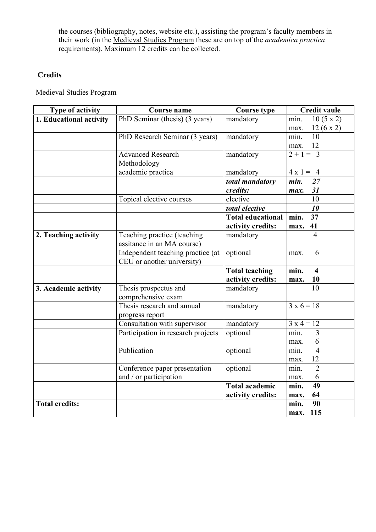the courses (bibliography, notes, website etc.), assisting the program's faculty members in their work (in the Medieval Studies Program these are on top of the *academica practica* requirements). Maximum 12 credits can be collected.

# **Credits**

Medieval Studies Program

| Type of activity        | <b>Course name</b>                          | <b>Course type</b>       | <b>Credit vaule</b>             |
|-------------------------|---------------------------------------------|--------------------------|---------------------------------|
| 1. Educational activity | PhD Seminar (thesis) (3 years)              | mandatory                | $10(5 \times 2)$<br>min.        |
|                         |                                             |                          | 12(6x2)<br>max.                 |
|                         | PhD Research Seminar (3 years)              | mandatory                | 10<br>min.                      |
|                         |                                             |                          | 12<br>max.                      |
|                         | <b>Advanced Research</b>                    | mandatory                | $2 + 1 = 3$                     |
|                         | Methodology                                 |                          |                                 |
|                         | academic practica                           | mandatory                | $4 \times 1 = 4$                |
|                         |                                             | total mandatory          | min.<br>27                      |
|                         |                                             | credits:                 | 31<br>max.                      |
|                         | Topical elective courses                    | elective                 | 10                              |
|                         |                                             | total elective           | 10                              |
|                         |                                             | <b>Total educational</b> | 37<br>min.                      |
|                         |                                             | activity credits:        | 41<br>max.                      |
| 2. Teaching activity    | Teaching practice (teaching                 | mandatory                | $\overline{4}$                  |
|                         | assitance in an MA course)                  |                          |                                 |
|                         | Independent teaching practice (at           | optional                 | 6<br>max.                       |
|                         | CEU or another university)                  |                          |                                 |
|                         |                                             | <b>Total teaching</b>    | min.<br>$\overline{\mathbf{4}}$ |
|                         |                                             | activity credits:        | 10<br>max.                      |
| 3. Academic activity    | Thesis prospectus and<br>comprehensive exam | mandatory                | 10                              |
|                         | Thesis research and annual                  | mandatory                | $3 \times 6 = 18$               |
|                         | progress report                             |                          |                                 |
|                         | Consultation with supervisor                | mandatory                | $3x 4 = 12$                     |
|                         | Participation in research projects          | optional                 | min.<br>3                       |
|                         |                                             |                          | 6<br>max.                       |
|                         | Publication                                 | optional                 | $\overline{4}$<br>min.          |
|                         |                                             |                          | 12<br>max.                      |
|                         | Conference paper presentation               | optional                 | $\overline{2}$<br>min.          |
|                         | and / or participation                      |                          | 6<br>max.                       |
|                         |                                             | <b>Total academic</b>    | 49<br>min.                      |
|                         |                                             | activity credits:        | 64<br>max.                      |
| <b>Total credits:</b>   |                                             |                          | min.<br>90                      |
|                         |                                             |                          | 115<br>max.                     |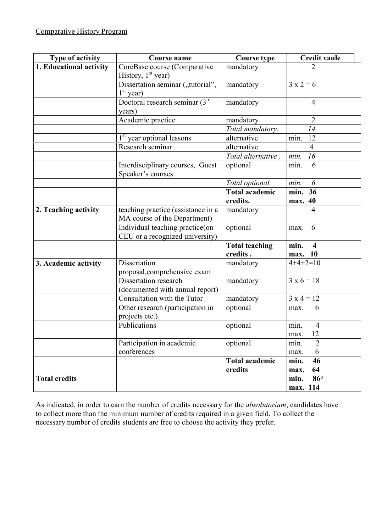| Type of activity        | <b>Course name</b>                                                 | <b>Course type</b>                | <b>Credit vaule</b>                        |
|-------------------------|--------------------------------------------------------------------|-----------------------------------|--------------------------------------------|
| 1. Educational activity | CoreBase course (Comparative<br>History, $1st$ year)               | mandatory                         |                                            |
|                         | Dissertation seminar ("tutorial",<br>$1st$ year)                   | mandatory                         | $3x2=6$                                    |
|                         | Doctoral research seminar (3rd<br>years)                           | mandatory                         | 4                                          |
|                         | Academic practice                                                  | mandatory                         | $\overline{2}$                             |
|                         |                                                                    | Total mandatory.                  | 14                                         |
|                         | 1 <sup>st</sup> year optional lessons                              | alternative                       | min.<br>12                                 |
|                         | Research seminar                                                   | alternative                       | $\overline{4}$                             |
|                         |                                                                    | Total alternative.                | 16<br>min.                                 |
|                         | Interdisciplinary courses, Guest<br>Speaker's courses              | optional                          | 6<br>min.                                  |
|                         |                                                                    | Total optional.                   | 6<br>min.                                  |
|                         |                                                                    | <b>Total academic</b>             | min. 36                                    |
|                         |                                                                    | credits.                          | max. 40                                    |
| 2. Teaching activity    | teaching practice (assistance in a<br>MA course of the Department) | mandatory                         | 4                                          |
|                         | Individual teaching practice(on<br>CEU or a recognized university) | optional                          | 6<br>max.                                  |
|                         |                                                                    | <b>Total teaching</b><br>credits. | min.<br>$\overline{\mathbf{4}}$<br>max. 10 |
| 3. Academic activity    | Dissertation<br>proposal, comprehensive exam                       | mandatory                         | $4+4+2=10$                                 |
|                         | Dissertation research<br>(documented with annual report)           | mandatory                         | $3 \times 6 = 18$                          |
|                         | Consultation with the Tutor                                        | mandatory                         | $3x 4 = 12$                                |
|                         | Other research (participation in<br>projects etc.)                 | optional                          | 6<br>max.                                  |
|                         | Publications                                                       | optional                          | min.<br>4<br>max. 12                       |
|                         | Participation in academic<br>conferences                           | optional                          | $\overline{2}$<br>min.<br>6<br>max.        |
|                         |                                                                    | <b>Total academic</b><br>credits  | 46<br>min.<br>64<br>max.                   |
| <b>Total credits</b>    |                                                                    |                                   | 86*<br>min.<br>max. 114                    |

As indicated, in order to earn the number of credits necessary for the absolutorium, candidates have to collect more than the minimum number of credits required in a given field. To collect the necessary number of credits students are free to choose the activity they prefer.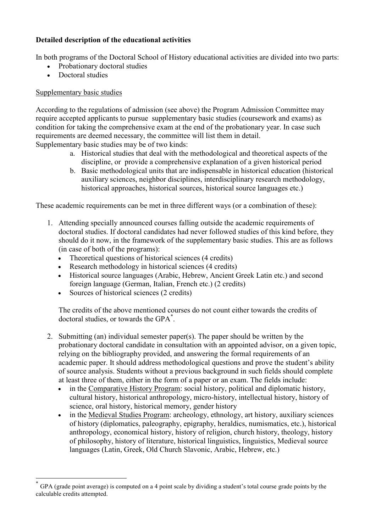# Detailed description of the educational activities

In both programs of the Doctoral School of History educational activities are divided into two parts:

- Probationary doctoral studies
- Doctoral studies

# Supplementary basic studies

 $\overline{a}$ 

According to the regulations of admission (see above) the Program Admission Committee may require accepted applicants to pursue supplementary basic studies (coursework and exams) as condition for taking the comprehensive exam at the end of the probationary year. In case such requirements are deemed necessary, the committee will list them in detail. Supplementary basic studies may be of two kinds:

- a. Historical studies that deal with the methodological and theoretical aspects of the discipline, or provide a comprehensive explanation of a given historical period
- b. Basic methodological units that are indispensable in historical education (historical auxiliary sciences, neighbor disciplines, interdisciplinary research methodology, historical approaches, historical sources, historical source languages etc.)

These academic requirements can be met in three different ways (or a combination of these):

- 1. Attending specially announced courses falling outside the academic requirements of doctoral studies. If doctoral candidates had never followed studies of this kind before, they should do it now, in the framework of the supplementary basic studies. This are as follows (in case of both of the programs):
	- Theoretical questions of historical sciences (4 credits)
	- Research methodology in historical sciences (4 credits)
	- Historical source languages (Arabic, Hebrew, Ancient Greek Latin etc.) and second foreign language (German, Italian, French etc.) (2 credits)
	- Sources of historical sciences (2 credits)

The credits of the above mentioned courses do not count either towards the credits of doctoral studies, or towards the GPA\* .

- 2. Submitting (an) individual semester paper(s). The paper should be written by the probationary doctoral candidate in consultation with an appointed advisor, on a given topic, relying on the bibliography provided, and answering the formal requirements of an academic paper. It should address methodological questions and prove the student's ability of source analysis. Students without a previous background in such fields should complete at least three of them, either in the form of a paper or an exam. The fields include:
	- in the Comparative History Program: social history, political and diplomatic history, cultural history, historical anthropology, micro-history, intellectual history, history of science, oral history, historical memory, gender history
	- in the Medieval Studies Program: archeology, ethnology, art history, auxiliary sciences of history (diplomatics, paleography, epigraphy, heraldics, numismatics, etc.), historical anthropology, economical history, history of religion, church history, theology, history of philosophy, history of literature, historical linguistics, linguistics, Medieval source languages (Latin, Greek, Old Church Slavonic, Arabic, Hebrew, etc.)

<sup>\*</sup> GPA (grade point average) is computed on a 4 point scale by dividing a student's total course grade points by the calculable credits attempted.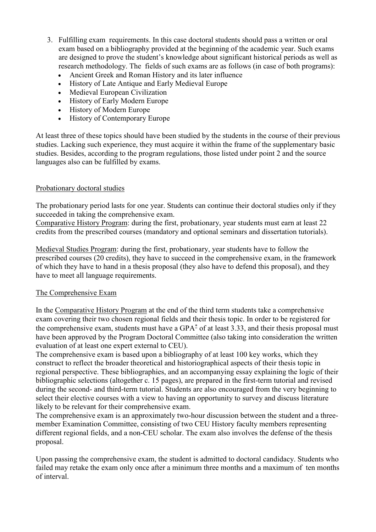- 3. Fulfilling exam requirements. In this case doctoral students should pass a written or oral exam based on a bibliography provided at the beginning of the academic year. Such exams are designed to prove the student's knowledge about significant historical periods as well as research methodology. The fields of such exams are as follows (in case of both programs):
	- Ancient Greek and Roman History and its later influence
	- History of Late Antique and Early Medieval Europe
	- Medieval European Civilization
	- History of Early Modern Europe
	- History of Modern Europe
	- History of Contemporary Europe

At least three of these topics should have been studied by the students in the course of their previous studies. Lacking such experience, they must acquire it within the frame of the supplementary basic studies. Besides, according to the program regulations, those listed under point 2 and the source languages also can be fulfilled by exams.

#### Probationary doctoral studies

The probationary period lasts for one year. Students can continue their doctoral studies only if they succeeded in taking the comprehensive exam.

Comparative History Program: during the first, probationary, year students must earn at least 22 credits from the prescribed courses (mandatory and optional seminars and dissertation tutorials).

Medieval Studies Program: during the first, probationary, year students have to follow the prescribed courses (20 credits), they have to succeed in the comprehensive exam, in the framework of which they have to hand in a thesis proposal (they also have to defend this proposal), and they have to meet all language requirements.

## The Comprehensive Exam

In the Comparative History Program at the end of the third term students take a comprehensive exam covering their two chosen regional fields and their thesis topic. In order to be registered for the comprehensive exam, students must have a GPA $*$  of at least 3.33, and their thesis proposal must have been approved by the Program Doctoral Committee (also taking into consideration the written evaluation of at least one expert external to CEU).

The comprehensive exam is based upon a bibliography of at least 100 key works, which they construct to reflect the broader theoretical and historiographical aspects of their thesis topic in regional perspective. These bibliographies, and an accompanying essay explaining the logic of their bibliographic selections (altogether c. 15 pages), are prepared in the first-term tutorial and revised during the second- and third-term tutorial. Students are also encouraged from the very beginning to select their elective courses with a view to having an opportunity to survey and discuss literature likely to be relevant for their comprehensive exam.

The comprehensive exam is an approximately two-hour discussion between the student and a threemember Examination Committee, consisting of two CEU History faculty members representing different regional fields, and a non-CEU scholar. The exam also involves the defense of the thesis proposal.

Upon passing the comprehensive exam, the student is admitted to doctoral candidacy. Students who failed may retake the exam only once after a minimum three months and a maximum of ten months of interval.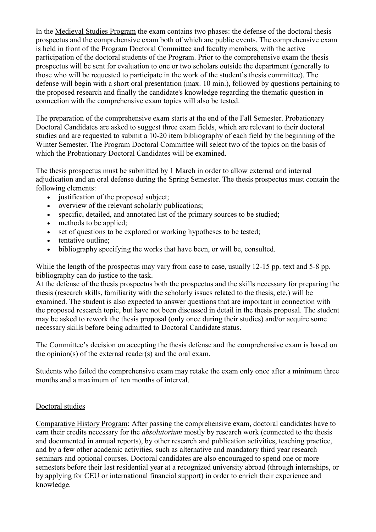In the Medieval Studies Program the exam contains two phases: the defense of the doctoral thesis prospectus and the comprehensive exam both of which are public events. The comprehensive exam is held in front of the Program Doctoral Committee and faculty members, with the active participation of the doctoral students of the Program. Prior to the comprehensive exam the thesis prospectus will be sent for evaluation to one or two scholars outside the department (generally to those who will be requested to participate in the work of the student's thesis committee). The defense will begin with a short oral presentation (max. 10 min.), followed by questions pertaining to the proposed research and finally the candidate's knowledge regarding the thematic question in connection with the comprehensive exam topics will also be tested.

The preparation of the comprehensive exam starts at the end of the Fall Semester. Probationary Doctoral Candidates are asked to suggest three exam fields, which are relevant to their doctoral studies and are requested to submit a 10-20 item bibliography of each field by the beginning of the Winter Semester. The Program Doctoral Committee will select two of the topics on the basis of which the Probationary Doctoral Candidates will be examined.

The thesis prospectus must be submitted by 1 March in order to allow external and internal adjudication and an oral defense during the Spring Semester. The thesis prospectus must contain the following elements:

- justification of the proposed subject;
- overview of the relevant scholarly publications;
- specific, detailed, and annotated list of the primary sources to be studied;
- methods to be applied;
- set of questions to be explored or working hypotheses to be tested;
- tentative outline:
- bibliography specifying the works that have been, or will be, consulted.

While the length of the prospectus may vary from case to case, usually 12-15 pp. text and 5-8 pp. bibliography can do justice to the task.

At the defense of the thesis prospectus both the prospectus and the skills necessary for preparing the thesis (research skills, familiarity with the scholarly issues related to the thesis, etc.) will be examined. The student is also expected to answer questions that are important in connection with the proposed research topic, but have not been discussed in detail in the thesis proposal. The student may be asked to rework the thesis proposal (only once during their studies) and/or acquire some necessary skills before being admitted to Doctoral Candidate status.

The Committee's decision on accepting the thesis defense and the comprehensive exam is based on the opinion(s) of the external reader(s) and the oral exam.

Students who failed the comprehensive exam may retake the exam only once after a minimum three months and a maximum of ten months of interval.

## Doctoral studies

Comparative History Program: After passing the comprehensive exam, doctoral candidates have to earn their credits necessary for the absolutorium mostly by research work (connected to the thesis and documented in annual reports), by other research and publication activities, teaching practice, and by a few other academic activities, such as alternative and mandatory third year research seminars and optional courses. Doctoral candidates are also encouraged to spend one or more semesters before their last residential year at a recognized university abroad (through internships, or by applying for CEU or international financial support) in order to enrich their experience and knowledge.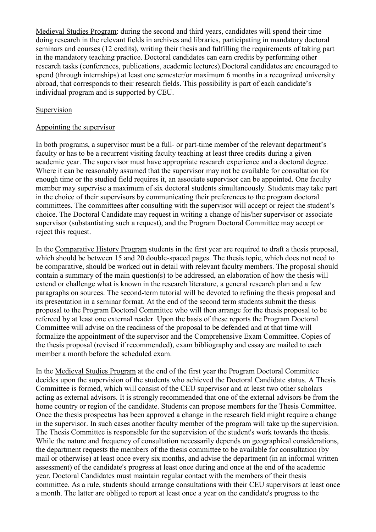Medieval Studies Program: during the second and third years, candidates will spend their time doing research in the relevant fields in archives and libraries, participating in mandatory doctoral seminars and courses (12 credits), writing their thesis and fulfilling the requirements of taking part in the mandatory teaching practice. Doctoral candidates can earn credits by performing other research tasks (conferences, publications, academic lectures).Doctoral candidates are encouraged to spend (through internships) at least one semester/or maximum 6 months in a recognized university abroad, that corresponds to their research fields. This possibility is part of each candidate's individual program and is supported by CEU.

#### Supervision

#### Appointing the supervisor

In both programs, a supervisor must be a full- or part-time member of the relevant department's faculty or has to be a recurrent visiting faculty teaching at least three credits during a given academic year. The supervisor must have appropriate research experience and a doctoral degree. Where it can be reasonably assumed that the supervisor may not be available for consultation for enough time or the studied field requires it, an associate supervisor can be appointed. One faculty member may supervise a maximum of six doctoral students simultaneously. Students may take part in the choice of their supervisors by communicating their preferences to the program doctoral committees. The committees after consulting with the supervisor will accept or reject the student's choice. The Doctoral Candidate may request in writing a change of his/her supervisor or associate supervisor (substantiating such a request), and the Program Doctoral Committee may accept or reject this request.

In the Comparative History Program students in the first year are required to draft a thesis proposal, which should be between 15 and 20 double-spaced pages. The thesis topic, which does not need to be comparative, should be worked out in detail with relevant faculty members. The proposal should contain a summary of the main question(s) to be addressed, an elaboration of how the thesis will extend or challenge what is known in the research literature, a general research plan and a few paragraphs on sources. The second-term tutorial will be devoted to refining the thesis proposal and its presentation in a seminar format. At the end of the second term students submit the thesis proposal to the Program Doctoral Committee who will then arrange for the thesis proposal to be refereed by at least one external reader. Upon the basis of these reports the Program Doctoral Committee will advise on the readiness of the proposal to be defended and at that time will formalize the appointment of the supervisor and the Comprehensive Exam Committee. Copies of the thesis proposal (revised if recommended), exam bibliography and essay are mailed to each member a month before the scheduled exam.

In the Medieval Studies Program at the end of the first year the Program Doctoral Committee decides upon the supervision of the students who achieved the Doctoral Candidate status. A Thesis Committee is formed, which will consist of the CEU supervisor and at least two other scholars acting as external advisors. It is strongly recommended that one of the external advisors be from the home country or region of the candidate. Students can propose members for the Thesis Committee. Once the thesis prospectus has been approved a change in the research field might require a change in the supervisor. In such cases another faculty member of the program will take up the supervision. The Thesis Committee is responsible for the supervision of the student's work towards the thesis. While the nature and frequency of consultation necessarily depends on geographical considerations, the department requests the members of the thesis committee to be available for consultation (by mail or otherwise) at least once every six months, and advise the department (in an informal written assessment) of the candidate's progress at least once during and once at the end of the academic year. Doctoral Candidates must maintain regular contact with the members of their thesis committee. As a rule, students should arrange consultations with their CEU supervisors at least once a month. The latter are obliged to report at least once a year on the candidate's progress to the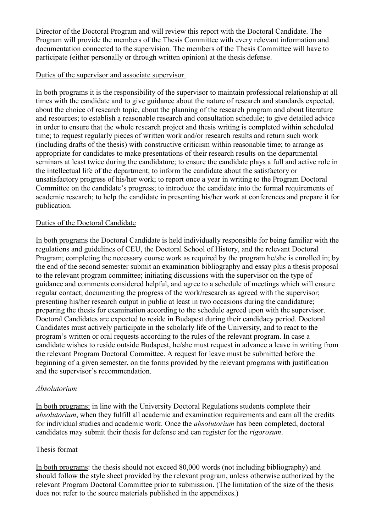Director of the Doctoral Program and will review this report with the Doctoral Candidate. The Program will provide the members of the Thesis Committee with every relevant information and documentation connected to the supervision. The members of the Thesis Committee will have to participate (either personally or through written opinion) at the thesis defense.

#### Duties of the supervisor and associate supervisor

In both programs it is the responsibility of the supervisor to maintain professional relationship at all times with the candidate and to give guidance about the nature of research and standards expected, about the choice of research topic, about the planning of the research program and about literature and resources; to establish a reasonable research and consultation schedule; to give detailed advice in order to ensure that the whole research project and thesis writing is completed within scheduled time; to request regularly pieces of written work and/or research results and return such work (including drafts of the thesis) with constructive criticism within reasonable time; to arrange as appropriate for candidates to make presentations of their research results on the departmental seminars at least twice during the candidature; to ensure the candidate plays a full and active role in the intellectual life of the department; to inform the candidate about the satisfactory or unsatisfactory progress of his/her work; to report once a year in writing to the Program Doctoral Committee on the candidate's progress; to introduce the candidate into the formal requirements of academic research; to help the candidate in presenting his/her work at conferences and prepare it for publication.

## Duties of the Doctoral Candidate

In both programs the Doctoral Candidate is held individually responsible for being familiar with the regulations and guidelines of CEU, the Doctoral School of History, and the relevant Doctoral Program; completing the necessary course work as required by the program he/she is enrolled in; by the end of the second semester submit an examination bibliography and essay plus a thesis proposal to the relevant program committee; initiating discussions with the supervisor on the type of guidance and comments considered helpful, and agree to a schedule of meetings which will ensure regular contact; documenting the progress of the work/research as agreed with the supervisor; presenting his/her research output in public at least in two occasions during the candidature; preparing the thesis for examination according to the schedule agreed upon with the supervisor. Doctoral Candidates are expected to reside in Budapest during their candidacy period. Doctoral Candidates must actively participate in the scholarly life of the University, and to react to the program's written or oral requests according to the rules of the relevant program. In case a candidate wishes to reside outside Budapest, he/she must request in advance a leave in writing from the relevant Program Doctoral Committee. A request for leave must be submitted before the beginning of a given semester, on the forms provided by the relevant programs with justification and the supervisor's recommendation.

## Absolutorium

In both programs: in line with the University Doctoral Regulations students complete their absolutorium, when they fulfill all academic and examination requirements and earn all the credits for individual studies and academic work. Once the absolutorium has been completed, doctoral candidates may submit their thesis for defense and can register for the rigorosum.

## Thesis format

In both programs: the thesis should not exceed 80,000 words (not including bibliography) and should follow the style sheet provided by the relevant program, unless otherwise authorized by the relevant Program Doctoral Committee prior to submission. (The limitation of the size of the thesis does not refer to the source materials published in the appendixes.)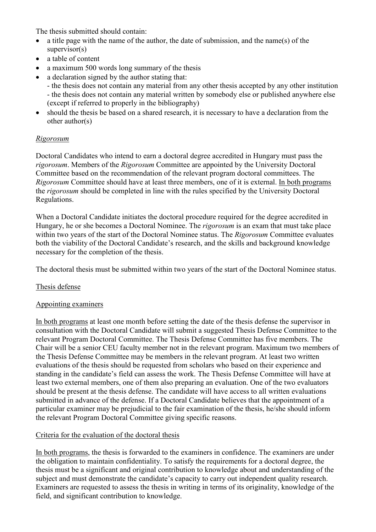The thesis submitted should contain:

- a title page with the name of the author, the date of submission, and the name(s) of the supervisor(s)
- a table of content
- a maximum 500 words long summary of the thesis
- a declaration signed by the author stating that:
	- the thesis does not contain any material from any other thesis accepted by any other institution - the thesis does not contain any material written by somebody else or published anywhere else (except if referred to properly in the bibliography)
- should the thesis be based on a shared research, it is necessary to have a declaration from the other author(s)

# Rigorosum

Doctoral Candidates who intend to earn a doctoral degree accredited in Hungary must pass the rigorosum. Members of the Rigorosum Committee are appointed by the University Doctoral Committee based on the recommendation of the relevant program doctoral committees. The Rigorosum Committee should have at least three members, one of it is external. In both programs the rigorosum should be completed in line with the rules specified by the University Doctoral Regulations.

When a Doctoral Candidate initiates the doctoral procedure required for the degree accredited in Hungary, he or she becomes a Doctoral Nominee. The rigorosum is an exam that must take place within two years of the start of the Doctoral Nominee status. The Rigorosum Committee evaluates both the viability of the Doctoral Candidate's research, and the skills and background knowledge necessary for the completion of the thesis.

The doctoral thesis must be submitted within two years of the start of the Doctoral Nominee status.

## Thesis defense

## Appointing examiners

In both programs at least one month before setting the date of the thesis defense the supervisor in consultation with the Doctoral Candidate will submit a suggested Thesis Defense Committee to the relevant Program Doctoral Committee. The Thesis Defense Committee has five members. The Chair will be a senior CEU faculty member not in the relevant program. Maximum two members of the Thesis Defense Committee may be members in the relevant program. At least two written evaluations of the thesis should be requested from scholars who based on their experience and standing in the candidate's field can assess the work. The Thesis Defense Committee will have at least two external members, one of them also preparing an evaluation. One of the two evaluators should be present at the thesis defense. The candidate will have access to all written evaluations submitted in advance of the defense. If a Doctoral Candidate believes that the appointment of a particular examiner may be prejudicial to the fair examination of the thesis, he/she should inform the relevant Program Doctoral Committee giving specific reasons.

## Criteria for the evaluation of the doctoral thesis

In both programs, the thesis is forwarded to the examiners in confidence. The examiners are under the obligation to maintain confidentiality. To satisfy the requirements for a doctoral degree, the thesis must be a significant and original contribution to knowledge about and understanding of the subject and must demonstrate the candidate's capacity to carry out independent quality research. Examiners are requested to assess the thesis in writing in terms of its originality, knowledge of the field, and significant contribution to knowledge.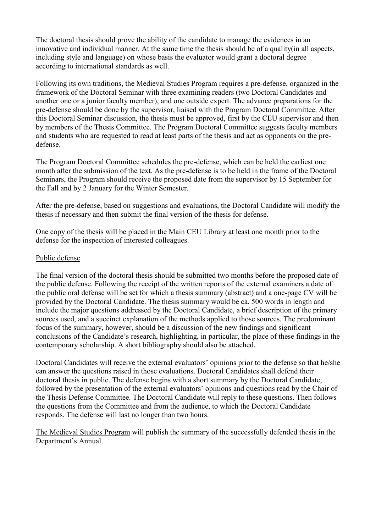The doctoral thesis should prove the ability of the candidate to manage the evidences in an innovative and individual manner. At the same time the thesis should be of a quality(in all aspects, including style and language) on whose basis the evaluator would grant a doctoral degree according to international standards as well.

Following its own traditions, the Medieval Studies Program requires a pre-defense, organized in the framework of the Doctoral Seminar with three examining readers (two Doctoral Candidates and another one or a junior faculty member), and one outside expert. The advance preparations for the pre-defense should be done by the supervisor, liaised with the Program Doctoral Committee. After this Doctoral Seminar discussion, the thesis must be approved, first by the CEU supervisor and then by members of the Thesis Committee. The Program Doctoral Committee suggests faculty members and students who are requested to read at least parts of the thesis and act as opponents on the predefense.

The Program Doctoral Committee schedules the pre-defense, which can be held the earliest one month after the submission of the text. As the pre-defense is to be held in the frame of the Doctoral Seminars, the Program should receive the proposed date from the supervisor by 15 September for the Fall and by 2 January for the Winter Semester.

After the pre-defense, based on suggestions and evaluations, the Doctoral Candidate will modify the thesis if necessary and then submit the final version of the thesis for defense.

One copy of the thesis will be placed in the Main CEU Library at least one month prior to the defense for the inspection of interested colleagues.

#### Public defense

The final version of the doctoral thesis should be submitted two months before the proposed date of the public defense. Following the receipt of the written reports of the external examiners a date of the public oral defense will be set for which a thesis summary (abstract) and a one-page CV will be provided by the Doctoral Candidate. The thesis summary would be ca. 500 words in length and include the major questions addressed by the Doctoral Candidate, a brief description of the primary sources used, and a succinct explanation of the methods applied to those sources. The predominant focus of the summary, however, should be a discussion of the new findings and significant conclusions of the Candidate's research, highlighting, in particular, the place of these findings in the contemporary scholarship. A short bibliography should also be attached.

Doctoral Candidates will receive the external evaluators' opinions prior to the defense so that he/she can answer the questions raised in those evaluations. Doctoral Candidates shall defend their doctoral thesis in public. The defense begins with a short summary by the Doctoral Candidate, followed by the presentation of the external evaluators' opinions and questions read by the Chair of the Thesis Defense Committee. The Doctoral Candidate will reply to these questions. Then follows the questions from the Committee and from the audience, to which the Doctoral Candidate responds. The defense will last no longer than two hours.

The Medieval Studies Program will publish the summary of the successfully defended thesis in the Department's Annual.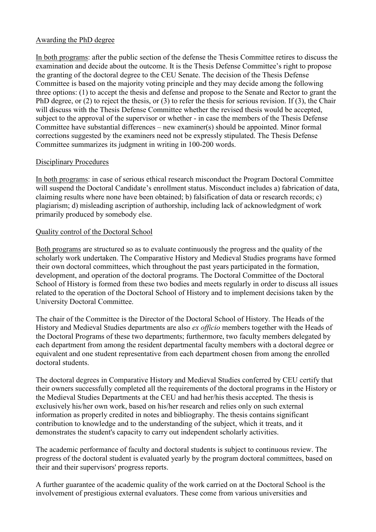#### Awarding the PhD degree

In both programs: after the public section of the defense the Thesis Committee retires to discuss the examination and decide about the outcome. It is the Thesis Defense Committee's right to propose the granting of the doctoral degree to the CEU Senate. The decision of the Thesis Defense Committee is based on the majority voting principle and they may decide among the following three options: (1) to accept the thesis and defense and propose to the Senate and Rector to grant the PhD degree, or (2) to reject the thesis, or (3) to refer the thesis for serious revision. If (3), the Chair will discuss with the Thesis Defense Committee whether the revised thesis would be accepted, subject to the approval of the supervisor or whether - in case the members of the Thesis Defense Committee have substantial differences – new examiner(s) should be appointed. Minor formal corrections suggested by the examiners need not be expressly stipulated. The Thesis Defense Committee summarizes its judgment in writing in 100-200 words.

## Disciplinary Procedures

In both programs: in case of serious ethical research misconduct the Program Doctoral Committee will suspend the Doctoral Candidate's enrollment status. Misconduct includes a) fabrication of data, claiming results where none have been obtained; b) falsification of data or research records; c) plagiarism; d) misleading ascription of authorship, including lack of acknowledgment of work primarily produced by somebody else.

# Quality control of the Doctoral School

Both programs are structured so as to evaluate continuously the progress and the quality of the scholarly work undertaken. The Comparative History and Medieval Studies programs have formed their own doctoral committees, which throughout the past years participated in the formation, development, and operation of the doctoral programs. The Doctoral Committee of the Doctoral School of History is formed from these two bodies and meets regularly in order to discuss all issues related to the operation of the Doctoral School of History and to implement decisions taken by the University Doctoral Committee.

The chair of the Committee is the Director of the Doctoral School of History. The Heads of the History and Medieval Studies departments are also ex officio members together with the Heads of the Doctoral Programs of these two departments; furthermore, two faculty members delegated by each department from among the resident departmental faculty members with a doctoral degree or equivalent and one student representative from each department chosen from among the enrolled doctoral students.

The doctoral degrees in Comparative History and Medieval Studies conferred by CEU certify that their owners successfully completed all the requirements of the doctoral programs in the History or the Medieval Studies Departments at the CEU and had her/his thesis accepted. The thesis is exclusively his/her own work, based on his/her research and relies only on such external information as properly credited in notes and bibliography. The thesis contains significant contribution to knowledge and to the understanding of the subject, which it treats, and it demonstrates the student's capacity to carry out independent scholarly activities.

The academic performance of faculty and doctoral students is subject to continuous review. The progress of the doctoral student is evaluated yearly by the program doctoral committees, based on their and their supervisors' progress reports.

A further guarantee of the academic quality of the work carried on at the Doctoral School is the involvement of prestigious external evaluators. These come from various universities and